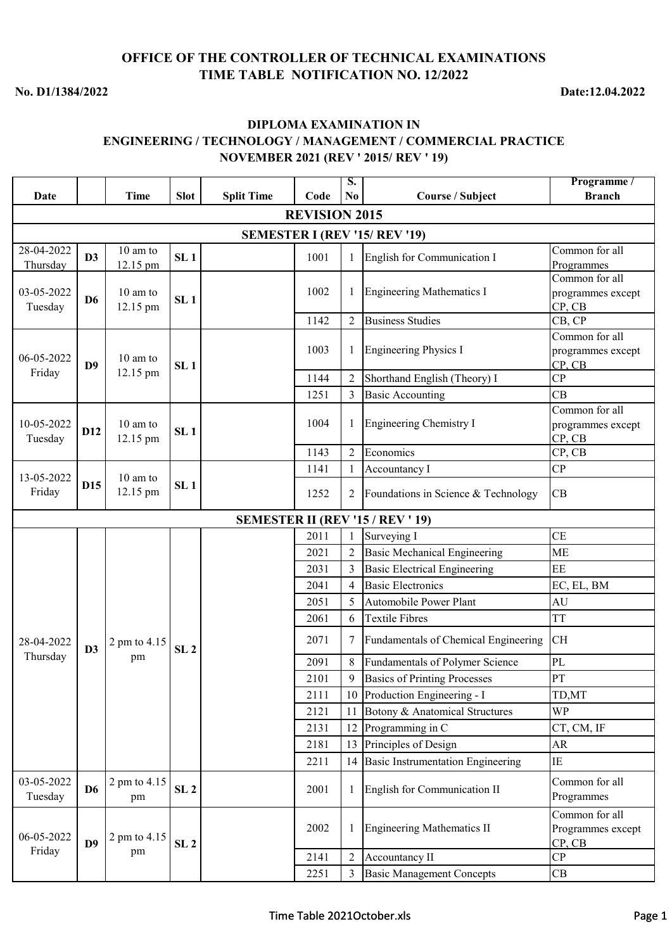## **OFFICE OF THE CONTROLLER OF TECHNICAL EXAMINATIONS TIME TABLE NOTIFICATION NO. 12/2022**

**No. D1/1384/2022**

**Date:12.04.2022**

## **DIPLOMA EXAMINATION IN ENGINEERING / TECHNOLOGY / MANAGEMENT / COMMERCIAL PRACTICE NOVEMBER 2021 (REV ' 2015/ REV ' 19)**

| Date                  |                 | <b>Time</b>            | <b>Slot</b>     | <b>Split Time</b> | Code                 | S.<br>N <sub>0</sub> | <b>Course / Subject</b>                  | Programme /<br><b>Branch</b>                  |
|-----------------------|-----------------|------------------------|-----------------|-------------------|----------------------|----------------------|------------------------------------------|-----------------------------------------------|
|                       |                 |                        |                 |                   | <b>REVISION 2015</b> |                      |                                          |                                               |
|                       |                 |                        |                 |                   |                      |                      |                                          |                                               |
| 28-04-2022            |                 | 10 am to               |                 |                   |                      |                      | SEMESTER I (REV '15/ REV '19)            | Common for all                                |
| Thursday              | D3              | 12.15 pm               | SL <sub>1</sub> |                   | 1001                 |                      | English for Communication I              | Programmes                                    |
|                       |                 |                        |                 |                   |                      |                      |                                          | Common for all                                |
| 03-05-2022<br>Tuesday | D <sub>6</sub>  | 10 am to<br>12.15 pm   | SL <sub>1</sub> |                   | 1002                 |                      | <b>Engineering Mathematics I</b>         | programmes except<br>CP, CB                   |
|                       |                 |                        |                 |                   | 1142                 | $\overline{2}$       | <b>Business Studies</b>                  | CB, CP                                        |
| 06-05-2022            | D <sub>9</sub>  | 10 am to               | SL <sub>1</sub> |                   | 1003                 | 1                    | <b>Engineering Physics I</b>             | Common for all<br>programmes except<br>CP, CB |
| Friday                |                 | 12.15 pm               |                 |                   | 1144                 | $\overline{2}$       | Shorthand English (Theory) I             | CP                                            |
|                       |                 |                        |                 |                   | 1251                 | 3                    | <b>Basic Accounting</b>                  | CВ                                            |
| 10-05-2022<br>Tuesday | D <sub>12</sub> | $10$ am to<br>12.15 pm | SL <sub>1</sub> |                   | 1004                 | 1                    | <b>Engineering Chemistry I</b>           | Common for all<br>programmes except<br>CP, CB |
|                       |                 |                        |                 |                   | 1143                 | $\overline{2}$       | Economics                                | CP, CB                                        |
| 13-05-2022            |                 | 10 am to               |                 |                   | 1141                 |                      | Accountancy I                            | CP                                            |
| Friday                | <b>D15</b>      | 12.15 pm               | SL <sub>1</sub> |                   | 1252                 | 2                    | Foundations in Science & Technology      | CB                                            |
|                       |                 |                        |                 |                   |                      |                      | <b>SEMESTER II (REV '15 / REV ' 19)</b>  |                                               |
|                       |                 |                        |                 |                   | 2011                 | $\mathbf{1}$         | Surveying I                              | <b>CE</b>                                     |
|                       |                 |                        |                 |                   | 2021                 |                      | <b>Basic Mechanical Engineering</b>      | <b>ME</b>                                     |
|                       |                 |                        |                 |                   | 2031                 | 3                    | <b>Basic Electrical Engineering</b>      | EE                                            |
|                       |                 |                        |                 |                   | 2041                 | 4                    | <b>Basic Electronics</b>                 | EC, EL, BM                                    |
|                       |                 |                        |                 |                   | 2051                 | 5                    | Automobile Power Plant                   | AU                                            |
|                       |                 |                        |                 |                   | 2061                 | 6                    | <b>Textile Fibres</b>                    | <b>TT</b>                                     |
| 28-04-2022            | D3              | 2 pm to 4.15           | SL <sub>2</sub> |                   | 2071                 | 7                    | Fundamentals of Chemical Engineering     | <b>CH</b>                                     |
| Thursday              |                 | pm                     |                 |                   | 2091                 | 8                    | Fundamentals of Polymer Science          | $\rm PL$                                      |
|                       |                 |                        |                 |                   | 2101                 | 9                    | <b>Basics of Printing Processes</b>      | PT                                            |
|                       |                 |                        |                 |                   | 2111                 | 10                   | Production Engineering - I               | TD,MT                                         |
|                       |                 |                        |                 |                   | 2121                 | 11                   | Botony & Anatomical Structures           | <b>WP</b>                                     |
|                       |                 |                        |                 |                   | 2131                 | 12                   | Programming in C                         | CT, CM, IF                                    |
|                       |                 |                        |                 |                   | 2181                 | 13                   | Principles of Design                     | <b>AR</b>                                     |
|                       |                 |                        |                 |                   | 2211                 | 14                   | <b>Basic Instrumentation Engineering</b> | IE                                            |
| 03-05-2022<br>Tuesday | D <sub>6</sub>  | 2 pm to 4.15<br>pm     | SL <sub>2</sub> |                   | 2001                 |                      | English for Communication II             | Common for all<br>Programmes                  |
| 06-05-2022<br>Friday  | D <sub>9</sub>  | 2 pm to 4.15           | SL <sub>2</sub> |                   | 2002                 |                      | <b>Engineering Mathematics II</b>        | Common for all<br>Programmes except<br>CP, CB |
|                       |                 | pm                     |                 |                   | 2141                 | $\overline{2}$       | Accountancy II                           | CP                                            |
|                       |                 |                        |                 |                   | 2251                 |                      | <b>Basic Management Concepts</b>         | CB                                            |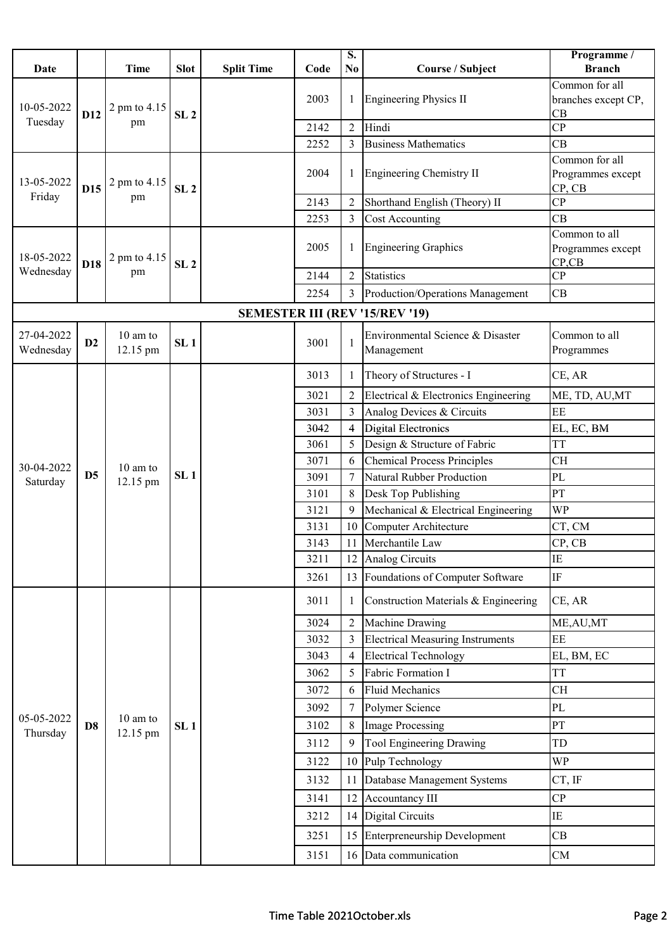|                         |                 |                      |                 |                   |      | $\overline{\mathbf{S}}$ . |                                         | Programme /                           |
|-------------------------|-----------------|----------------------|-----------------|-------------------|------|---------------------------|-----------------------------------------|---------------------------------------|
| Date                    |                 | <b>Time</b>          | <b>Slot</b>     | <b>Split Time</b> | Code | N <sub>0</sub>            | <b>Course / Subject</b>                 | <b>Branch</b>                         |
|                         |                 |                      |                 |                   | 2003 | 1                         | <b>Engineering Physics II</b>           | Common for all<br>branches except CP, |
| 10-05-2022              | D <sub>12</sub> | 2 pm to 4.15         | SL <sub>2</sub> |                   |      |                           |                                         | CB                                    |
| Tuesday                 |                 | pm                   |                 |                   | 2142 | $\overline{2}$            | Hindi                                   | CP                                    |
|                         |                 |                      |                 |                   | 2252 | 3                         | <b>Business Mathematics</b>             | CB                                    |
|                         |                 |                      |                 |                   |      |                           |                                         | Common for all                        |
| 13-05-2022              |                 | 2 pm to 4.15         |                 |                   | 2004 | 1                         | Engineering Chemistry II                | Programmes except                     |
| Friday                  | D <sub>15</sub> | pm                   | SL <sub>2</sub> |                   | 2143 | $\overline{2}$            | Shorthand English (Theory) II           | CP, CB<br>CP                          |
|                         |                 |                      |                 |                   | 2253 | 3                         | <b>Cost Accounting</b>                  | CB                                    |
|                         |                 |                      |                 |                   |      |                           |                                         | Common to all                         |
|                         |                 |                      |                 |                   | 2005 | 1                         | <b>Engineering Graphics</b>             | Programmes except                     |
| 18-05-2022<br>Wednesday | D18             | 2 pm to 4.15<br>pm   | SL <sub>2</sub> |                   |      |                           |                                         | $CP$ <sub>CB</sub>                    |
|                         |                 |                      |                 |                   | 2144 | $\overline{2}$            | <b>Statistics</b>                       | CP                                    |
|                         |                 |                      |                 |                   | 2254 | 3                         | Production/Operations Management        | CB                                    |
|                         |                 |                      |                 |                   |      |                           | <b>SEMESTER III (REV '15/REV '19)</b>   |                                       |
| 27-04-2022              | D2              | 10 am to             | SL <sub>1</sub> |                   | 3001 | $\mathbf{1}$              | Environmental Science & Disaster        | Common to all                         |
| Wednesday               |                 | 12.15 pm             |                 |                   |      |                           | Management                              | Programmes                            |
|                         |                 |                      |                 |                   | 3013 | 1                         | Theory of Structures - I                | CE, AR                                |
|                         |                 |                      |                 |                   | 3021 |                           | Electrical & Electronics Engineering    | ME, TD, AU, MT                        |
|                         |                 |                      |                 |                   | 3031 | 3                         | Analog Devices & Circuits               | EE                                    |
|                         | D <sub>5</sub>  |                      | SL <sub>1</sub> |                   | 3042 | 4                         | <b>Digital Electronics</b>              | EL, EC, BM                            |
|                         |                 |                      |                 |                   | 3061 | 5                         | Design & Structure of Fabric            | <b>TT</b>                             |
| 30-04-2022              |                 | 10 am to             |                 |                   | 3071 | 6                         | <b>Chemical Process Principles</b>      | <b>CH</b>                             |
| Saturday                |                 | 12.15 pm             |                 |                   | 3091 | 7                         | <b>Natural Rubber Production</b>        | PL                                    |
|                         |                 |                      |                 |                   | 3101 | 8                         | Desk Top Publishing                     | PT                                    |
|                         |                 |                      |                 |                   | 3121 | 9                         | Mechanical & Electrical Engineering     | WP                                    |
|                         |                 |                      |                 |                   | 3131 | 10                        | Computer Architecture                   | CT, CM                                |
|                         |                 |                      |                 |                   | 3143 | 11                        | Merchantile Law                         | CP, CB                                |
|                         |                 |                      |                 |                   | 3211 |                           | 12 Analog Circuits                      | $\rm IE$                              |
|                         |                 |                      |                 |                   | 3261 | 13                        | Foundations of Computer Software        | IF                                    |
|                         |                 |                      |                 |                   | 3011 | 1                         | Construction Materials & Engineering    | CE, AR                                |
|                         |                 |                      |                 |                   | 3024 | $\overline{2}$            | Machine Drawing                         | ME, AU, MT                            |
|                         |                 |                      |                 |                   | 3032 | 3                         | <b>Electrical Measuring Instruments</b> | EE                                    |
|                         |                 |                      |                 |                   | 3043 | $\overline{4}$            | <b>Electrical Technology</b>            | EL, BM, EC                            |
|                         |                 |                      |                 |                   | 3062 | 5                         | Fabric Formation I                      | <b>TT</b>                             |
|                         |                 |                      |                 |                   | 3072 | 6                         | <b>Fluid Mechanics</b>                  | <b>CH</b>                             |
|                         |                 |                      |                 |                   | 3092 | 7                         | Polymer Science                         | PL                                    |
| 05-05-2022<br>Thursday  | D <sub>8</sub>  | 10 am to<br>12.15 pm | SL <sub>1</sub> |                   | 3102 | 8                         | <b>Image Processing</b>                 | PT                                    |
|                         |                 |                      |                 |                   | 3112 | 9                         | Tool Engineering Drawing                | TD                                    |
|                         |                 |                      |                 |                   | 3122 | 10                        | Pulp Technology                         | <b>WP</b>                             |
|                         |                 |                      |                 |                   | 3132 | 11                        | Database Management Systems             | CT, IF                                |
|                         |                 |                      |                 |                   | 3141 | 12                        | Accountancy III                         | CP                                    |
|                         |                 |                      |                 |                   | 3212 | 14                        | Digital Circuits                        | IE                                    |
|                         |                 |                      |                 |                   | 3251 | 15                        | Enterpreneurship Development            | CB                                    |
|                         |                 |                      |                 |                   | 3151 |                           | 16 Data communication                   | CM                                    |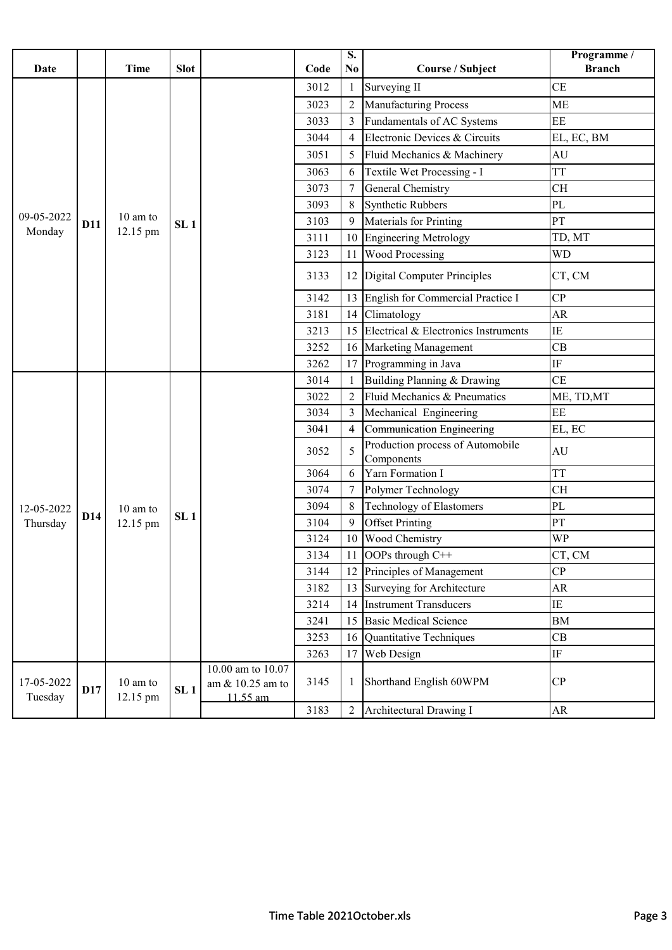| <b>Date</b>           |            | <b>Time</b>          | <b>Slot</b>     |                                                   | Code | $\overline{\mathbf{S}}$ .<br>N <sub>0</sub> | Course / Subject                               | Programme /<br><b>Branch</b> |
|-----------------------|------------|----------------------|-----------------|---------------------------------------------------|------|---------------------------------------------|------------------------------------------------|------------------------------|
|                       |            |                      |                 |                                                   | 3012 |                                             | Surveying II                                   | <b>CE</b>                    |
|                       |            |                      |                 |                                                   | 3023 | $\overline{2}$                              | Manufacturing Process                          | <b>ME</b>                    |
|                       |            |                      |                 |                                                   | 3033 | 3                                           | Fundamentals of AC Systems                     | EE                           |
|                       |            |                      |                 |                                                   | 3044 | $\overline{4}$                              | Electronic Devices & Circuits                  | EL, EC, BM                   |
|                       |            |                      |                 |                                                   | 3051 | 5                                           | Fluid Mechanics & Machinery                    | AU                           |
|                       |            |                      |                 |                                                   | 3063 | 6                                           | Textile Wet Processing - I                     | <b>TT</b>                    |
|                       |            |                      |                 |                                                   | 3073 | 7                                           | General Chemistry                              | <b>CH</b>                    |
|                       |            |                      |                 |                                                   | 3093 | 8                                           | <b>Synthetic Rubbers</b>                       | PL                           |
| 09-05-2022            | <b>D11</b> | $10 \text{ am to}$   | SL <sub>1</sub> |                                                   | 3103 | 9                                           | Materials for Printing                         | PT                           |
| Monday                |            | 12.15 pm             |                 |                                                   | 3111 | 10                                          | <b>Engineering Metrology</b>                   | TD, MT                       |
|                       |            |                      |                 |                                                   | 3123 | 11                                          | <b>Wood Processing</b>                         | <b>WD</b>                    |
|                       |            |                      |                 |                                                   | 3133 |                                             | 12 Digital Computer Principles                 | CT, CM                       |
|                       |            |                      |                 |                                                   | 3142 | 13                                          | English for Commercial Practice I              | CP                           |
|                       |            |                      |                 |                                                   | 3181 | 14                                          | Climatology                                    | AR                           |
|                       |            |                      |                 |                                                   | 3213 | 15                                          | Electrical & Electronics Instruments           | IE                           |
|                       |            |                      |                 |                                                   | 3252 | 16                                          | Marketing Management                           | CB                           |
|                       |            |                      |                 |                                                   | 3262 | 17                                          | Programming in Java                            | $\rm IF$                     |
|                       |            |                      |                 |                                                   | 3014 |                                             | Building Planning & Drawing                    | <b>CE</b>                    |
|                       |            |                      |                 |                                                   | 3022 | $\overline{2}$                              | Fluid Mechanics & Pneumatics                   | ME, TD, MT                   |
|                       |            |                      |                 |                                                   | 3034 | 3                                           | Mechanical Engineering                         | $\rm EE$                     |
|                       |            |                      |                 |                                                   | 3041 | 4                                           | <b>Communication Engineering</b>               | EL, EC                       |
|                       |            |                      |                 |                                                   | 3052 | 5                                           | Production process of Automobile<br>Components | AU                           |
|                       |            |                      |                 |                                                   | 3064 | 6                                           | Yarn Formation I                               | <b>TT</b>                    |
|                       |            |                      |                 |                                                   | 3074 | 7                                           | Polymer Technology                             | <b>CH</b>                    |
| 12-05-2022            |            | 10 am to             | SL <sub>1</sub> |                                                   | 3094 | 8                                           | <b>Technology of Elastomers</b>                | PL                           |
| Thursday              | D14        | 12.15 pm             |                 |                                                   | 3104 | 9                                           | <b>Offset Printing</b>                         | PT                           |
|                       |            |                      |                 |                                                   | 3124 | 10                                          | Wood Chemistry                                 | <b>WP</b>                    |
|                       |            |                      |                 |                                                   | 3134 |                                             | OOPs through C++                               | CT, CM                       |
|                       |            |                      |                 |                                                   | 3144 | 12                                          | Principles of Management                       | CP                           |
|                       |            |                      |                 |                                                   | 3182 | 13                                          | Surveying for Architecture                     | AR                           |
|                       |            |                      |                 |                                                   | 3214 | 14                                          | <b>Instrument Transducers</b>                  | IE                           |
|                       |            |                      |                 |                                                   | 3241 | 15                                          | <b>Basic Medical Science</b>                   | <b>BM</b>                    |
|                       |            |                      |                 |                                                   | 3253 | 16                                          | Quantitative Techniques                        | CB                           |
|                       |            |                      |                 |                                                   | 3263 | 17                                          | Web Design                                     | $\rm IF$                     |
| 17-05-2022<br>Tuesday | <b>D17</b> | 10 am to<br>12.15 pm | SL <sub>1</sub> | 10.00 am to 10.07<br>am & 10.25 am to<br>11.55 am | 3145 |                                             | Shorthand English 60WPM                        | CP                           |
|                       |            |                      |                 |                                                   | 3183 | $\overline{2}$                              | Architectural Drawing I                        | AR                           |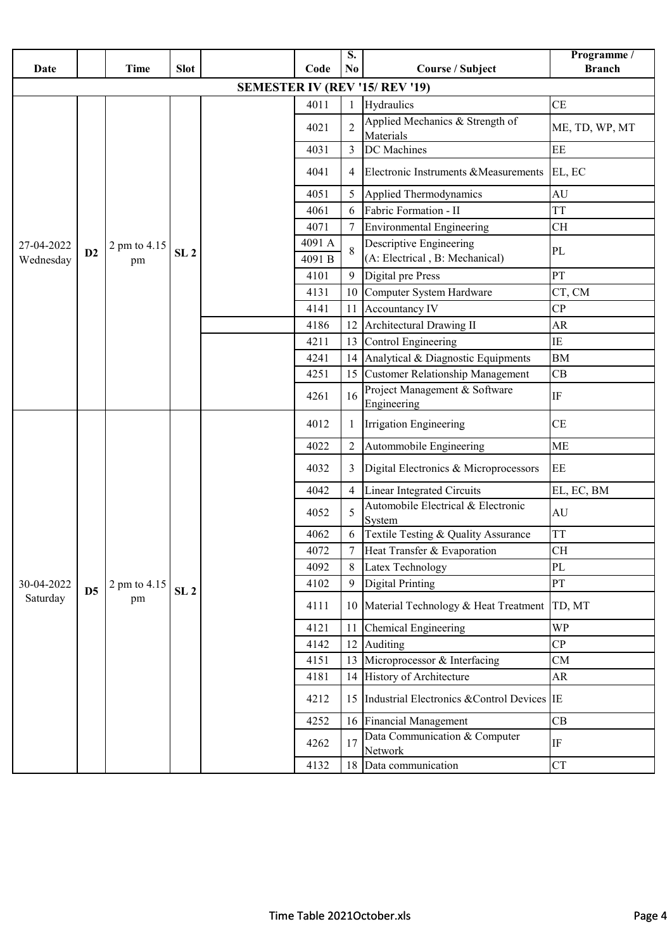| Date                    |                | <b>Time</b>        | <b>Slot</b>     |  | Code            | S.<br>N <sub>0</sub> | Course / Subject                                          | Programme /<br><b>Branch</b> |
|-------------------------|----------------|--------------------|-----------------|--|-----------------|----------------------|-----------------------------------------------------------|------------------------------|
|                         |                |                    |                 |  |                 |                      | <b>SEMESTER IV (REV '15/ REV '19)</b>                     |                              |
|                         |                |                    |                 |  | 4011            |                      | Hydraulics                                                | <b>CE</b>                    |
|                         |                |                    |                 |  | 4021            | $\overline{2}$       | Applied Mechanics & Strength of<br>Materials              | ME, TD, WP, MT               |
|                         |                |                    |                 |  | 4031            | 3                    | DC Machines                                               | EE                           |
|                         |                |                    |                 |  | 4041            | 4                    | Electronic Instruments & Measurements EL, EC              |                              |
|                         |                |                    |                 |  | 4051            | 5                    | Applied Thermodynamics                                    | AU                           |
|                         |                |                    |                 |  | 4061            | 6                    | Fabric Formation - II                                     | <b>TT</b>                    |
|                         |                |                    |                 |  | 4071            |                      | <b>Environmental Engineering</b>                          | <b>CH</b>                    |
| 27-04-2022<br>Wednesday | D2             | 2 pm to 4.15<br>pm | SL <sub>2</sub> |  | 4091 A<br>4091B |                      | Descriptive Engineering<br>(A: Electrical, B: Mechanical) | PL                           |
|                         |                |                    |                 |  | 4101            | 9                    | Digital pre Press                                         | PT                           |
|                         |                |                    |                 |  | 4131            | 10                   | Computer System Hardware                                  | CT, CM                       |
|                         |                |                    |                 |  | 4141            | 11                   | Accountancy IV                                            | CP                           |
|                         |                |                    |                 |  | 4186            | 12                   | Architectural Drawing II                                  | <b>AR</b>                    |
|                         |                |                    |                 |  | 4211            | 13                   | Control Engineering                                       | IE                           |
|                         |                |                    |                 |  | 4241            | 14                   | Analytical & Diagnostic Equipments                        | <b>BM</b>                    |
|                         |                |                    |                 |  | 4251            | 15                   | <b>Customer Relationship Management</b>                   | CB                           |
|                         |                |                    |                 |  | 4261            | 16                   | Project Management & Software<br>Engineering              | $\rm IF$                     |
|                         |                |                    |                 |  | 4012            |                      | Irrigation Engineering                                    | CE                           |
|                         |                |                    |                 |  | 4022            | $\overline{2}$       | Autommobile Engineering                                   | <b>ME</b>                    |
|                         |                |                    |                 |  | 4032            | 3                    | Digital Electronics & Microprocessors                     | EE                           |
|                         |                |                    |                 |  | 4042            | $\overline{4}$       | <b>Linear Integrated Circuits</b>                         | EL, EC, BM                   |
|                         |                |                    |                 |  | 4052            | 5                    | Automobile Electrical & Electronic<br>System              | AU                           |
|                         |                |                    |                 |  | 4062            |                      | Textile Testing & Quality Assurance                       | <b>TT</b>                    |
|                         |                |                    |                 |  | 4072            | $7\overline{ }$      | Heat Transfer & Evaporation                               | CH                           |
|                         |                |                    |                 |  | 4092            |                      | Latex Technology                                          | PL                           |
| 30-04-2022              | D <sub>5</sub> | 2 pm to 4.15       | SL <sub>2</sub> |  | 4102            | 9                    | <b>Digital Printing</b>                                   | PT                           |
| Saturday                |                | pm                 |                 |  | 4111            | 10                   | Material Technology & Heat Treatment                      | TD, MT                       |
|                         |                |                    |                 |  | 4121            | 11                   | <b>Chemical Engineering</b>                               | <b>WP</b>                    |
|                         |                |                    |                 |  | 4142            | 12                   | Auditing                                                  | CP                           |
|                         |                |                    |                 |  | 4151            | 13                   | Microprocessor & Interfacing                              | CM                           |
|                         |                |                    |                 |  | 4181            | 14                   | History of Architecture                                   | AR                           |
|                         |                |                    |                 |  | 4212            | 15                   | Industrial Electronics & Control Devices IE               |                              |
|                         |                |                    |                 |  | 4252            | 16                   | Financial Management                                      | CB                           |
|                         |                |                    |                 |  | 4262            | 17                   | Data Communication & Computer<br>Network                  | IF                           |
|                         |                |                    |                 |  | 4132            | 18                   | Data communication                                        | <b>CT</b>                    |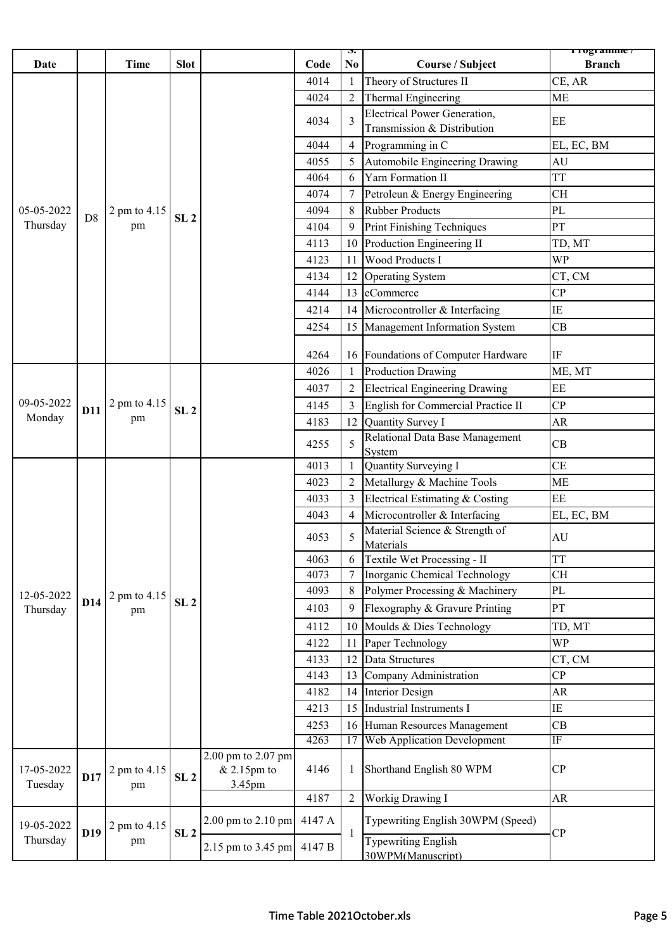| <b>Date</b>           |                 | <b>Time</b>        | <b>Slot</b>     |                                                       | Code   | $\mathbf{p}$<br>No. | Course / Subject                                              | r rogramme /<br><b>Branch</b> |
|-----------------------|-----------------|--------------------|-----------------|-------------------------------------------------------|--------|---------------------|---------------------------------------------------------------|-------------------------------|
|                       |                 |                    |                 |                                                       | 4014   | -1                  | Theory of Structures II                                       | CE, AR                        |
|                       |                 |                    |                 |                                                       | 4024   | $\overline{2}$      | Thermal Engineering                                           | <b>ME</b>                     |
|                       |                 |                    |                 |                                                       |        |                     | <b>Electrical Power Generation,</b>                           |                               |
|                       |                 |                    |                 |                                                       | 4034   | 3                   | Transmission & Distribution                                   | EE                            |
|                       |                 |                    |                 |                                                       | 4044   | $\overline{4}$      | Programming in C                                              | EL, EC, BM                    |
|                       |                 |                    |                 |                                                       | 4055   | 5                   | Automobile Engineering Drawing                                | AU                            |
|                       |                 |                    |                 |                                                       | 4064   | 6                   | Yarn Formation II                                             | <b>TT</b>                     |
|                       |                 |                    |                 |                                                       | 4074   |                     | Petroleun & Energy Engineering                                | <b>CH</b>                     |
| 05-05-2022            | D <sub>8</sub>  | 2 pm to 4.15       |                 |                                                       | 4094   | 8                   | <b>Rubber Products</b>                                        | PL                            |
| Thursday              |                 | pm                 | SL <sub>2</sub> |                                                       | 4104   | 9                   | Print Finishing Techniques                                    | PT                            |
|                       |                 |                    |                 |                                                       | 4113   | 10                  | Production Engineering II                                     | TD, MT                        |
|                       |                 |                    |                 |                                                       | 4123   | 11                  | <b>Wood Products I</b>                                        | <b>WP</b>                     |
|                       |                 |                    |                 |                                                       | 4134   | 12                  | <b>Operating System</b>                                       | CT, CM                        |
|                       |                 |                    |                 |                                                       | 4144   | 13                  | eCommerce                                                     | CP                            |
|                       |                 |                    |                 |                                                       | 4214   | 14                  | Microcontroller & Interfacing                                 | $\rm IE$                      |
|                       |                 |                    |                 |                                                       | 4254   | 15                  | Management Information System                                 | CB                            |
|                       |                 |                    |                 |                                                       | 4264   |                     |                                                               | $\rm IF$                      |
|                       |                 |                    |                 |                                                       | 4026   | 16                  | Foundations of Computer Hardware<br><b>Production Drawing</b> | ME, MT                        |
|                       |                 |                    |                 |                                                       | 4037   | $\overline{2}$      | <b>Electrical Engineering Drawing</b>                         | EE                            |
| 09-05-2022            |                 | 2 pm to 4.15       |                 |                                                       | 4145   |                     | English for Commercial Practice II                            | CP                            |
| Monday                | <b>D11</b>      | pm                 | SL <sub>2</sub> |                                                       | 4183   | 12                  | Quantity Survey I                                             | AR                            |
|                       |                 |                    |                 |                                                       |        |                     | Relational Data Base Management                               |                               |
|                       |                 |                    |                 |                                                       | 4255   | 5                   | System                                                        | CB                            |
|                       |                 |                    |                 |                                                       | 4013   | $\mathbf{1}$        | Quantity Surveying I                                          | CE                            |
|                       |                 |                    |                 |                                                       | 4023   | $\overline{2}$      | Metallurgy & Machine Tools                                    | <b>ME</b>                     |
|                       |                 |                    |                 |                                                       | 4033   | 3                   | Electrical Estimating & Costing                               | EE                            |
|                       |                 |                    |                 |                                                       | 4043   | $\overline{4}$      | Microcontroller & Interfacing                                 | EL, EC, BM                    |
|                       |                 |                    |                 |                                                       | 4053   | 5                   | Material Science & Strength of<br>Materials                   | $\mathrm{AU}$                 |
|                       |                 |                    |                 |                                                       | 4063   |                     | Textile Wet Processing - II                                   | <b>TT</b>                     |
|                       |                 |                    |                 |                                                       | 4073   |                     | Inorganic Chemical Technology                                 | CH                            |
| 12-05-2022            |                 | 2 pm to 4.15       |                 |                                                       | 4093   | 8                   | Polymer Processing & Machinery                                | PL                            |
| Thursday              | D14             | pm                 | SL <sub>2</sub> |                                                       | 4103   | 9                   | Flexography & Gravure Printing                                | PT                            |
|                       |                 |                    |                 |                                                       | 4112   | 10                  | Moulds & Dies Technology                                      | TD, MT                        |
|                       |                 |                    |                 |                                                       | 4122   | 11                  | Paper Technology                                              | <b>WP</b>                     |
|                       |                 |                    |                 |                                                       | 4133   | 12                  | Data Structures                                               | CT, CM                        |
|                       |                 |                    |                 |                                                       | 4143   | 13                  | Company Administration                                        | CP                            |
|                       |                 |                    |                 |                                                       | 4182   | 14                  | <b>Interior Design</b>                                        | AR                            |
|                       |                 |                    |                 |                                                       | 4213   | 15                  | Industrial Instruments I                                      | $\rm IE$                      |
|                       |                 |                    |                 |                                                       | 4253   | 16                  | Human Resources Management                                    | CB                            |
|                       |                 |                    |                 |                                                       | 4263   | 17                  | <b>Web Application Development</b>                            | IF                            |
| 17-05-2022<br>Tuesday | D17             | 2 pm to 4.15<br>pm | SL <sub>2</sub> | 2.00 pm to 2.07 pm<br>$& 2.15 \text{pm}$ to<br>3.45pm | 4146   | 1                   | Shorthand English 80 WPM                                      | CP                            |
|                       |                 |                    |                 |                                                       | 4187   | $\overline{2}$      | Workig Drawing I                                              | ${\sf AR}$                    |
| 19-05-2022            | D <sub>19</sub> | 2 pm to 4.15       | SL <sub>2</sub> | $2.00$ pm to $2.10$ pm                                | 4147 A | -1                  | Typewriting English 30WPM (Speed)                             | CP                            |
| Thursday              |                 | pm                 |                 | 2.15 pm to 3.45 pm                                    | 4147 B |                     | <b>Typewriting English</b><br>30WPM(Manuscript)               |                               |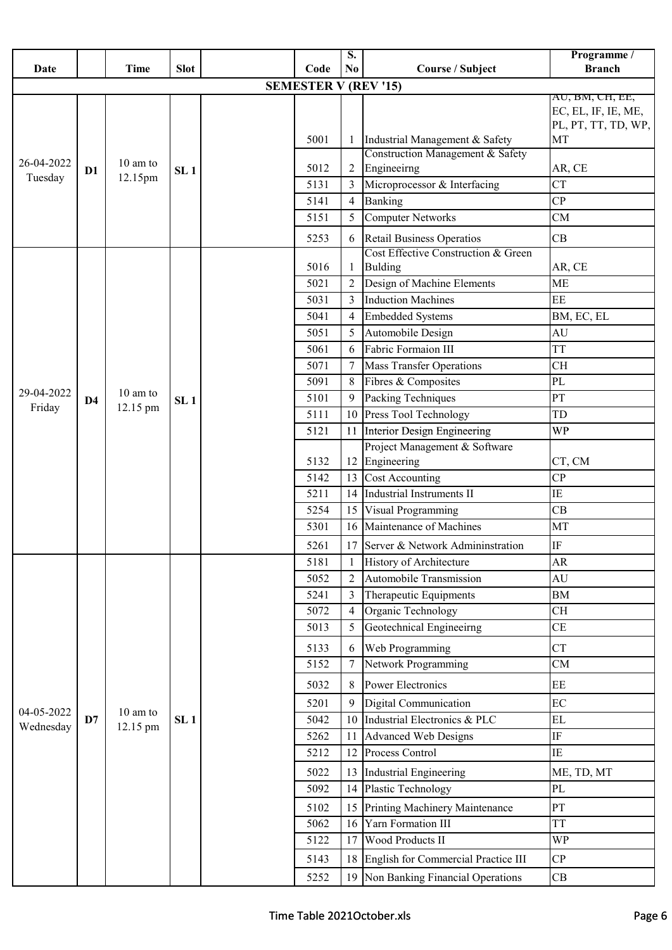|            |                |                    |                 |  |                             | S.             |                                                                         | Programme /                                                   |
|------------|----------------|--------------------|-----------------|--|-----------------------------|----------------|-------------------------------------------------------------------------|---------------------------------------------------------------|
| Date       |                | <b>Time</b>        | <b>Slot</b>     |  | Code                        | N <sub>0</sub> | Course / Subject                                                        | <b>Branch</b>                                                 |
|            |                |                    |                 |  | <b>SEMESTER V (REV '15)</b> |                |                                                                         |                                                               |
|            |                |                    |                 |  |                             |                |                                                                         | AU, BM, CH, EE,<br>EC, EL, IF, IE, ME,<br>PL, PT, TT, TD, WP, |
|            |                |                    |                 |  | 5001                        |                | Industrial Management & Safety                                          | MT                                                            |
| 26-04-2022 | D1             | $10 \text{ am to}$ | SL <sub>1</sub> |  | 5012                        | 2              | Construction Management & Safety<br>Engineeirng                         | AR, CE                                                        |
| Tuesday    |                | 12.15pm            |                 |  | 5131                        | 3              | Microprocessor & Interfacing                                            | <b>CT</b>                                                     |
|            |                |                    |                 |  | 5141                        | $\overline{4}$ | Banking                                                                 | CP                                                            |
|            |                |                    |                 |  | 5151                        | 5              | <b>Computer Networks</b>                                                | CM                                                            |
|            |                |                    |                 |  | 5253                        | 6              | <b>Retail Business Operatios</b><br>Cost Effective Construction & Green | CB                                                            |
|            |                |                    |                 |  | 5016                        | -1             | <b>Bulding</b>                                                          | AR, CE                                                        |
|            |                |                    |                 |  | 5021                        | $\overline{2}$ | Design of Machine Elements                                              | <b>ME</b>                                                     |
|            |                |                    |                 |  | 5031                        | 3              | <b>Induction Machines</b>                                               | $\rm EE$                                                      |
|            |                |                    |                 |  | 5041                        | $\overline{4}$ | <b>Embedded Systems</b>                                                 | BM, EC, EL                                                    |
|            |                |                    |                 |  | 5051                        | 5              | Automobile Design                                                       | <b>AU</b>                                                     |
|            |                |                    |                 |  | 5061                        | 6              | Fabric Formaion III                                                     | <b>TT</b>                                                     |
|            |                |                    |                 |  | 5071                        | 7              | <b>Mass Transfer Operations</b>                                         | <b>CH</b>                                                     |
|            |                |                    |                 |  | 5091                        | 8              | Fibres & Composites                                                     | PL                                                            |
| 29-04-2022 | D <sub>4</sub> | 10 am to           | SL <sub>1</sub> |  | 5101                        | 9              | Packing Techniques                                                      | PT                                                            |
| Friday     |                | 12.15 pm           |                 |  | 5111                        | 10             | Press Tool Technology                                                   | TD                                                            |
|            |                |                    |                 |  | 5121                        | 11             | Interior Design Engineering                                             | <b>WP</b>                                                     |
|            |                |                    |                 |  | 5132                        | 12             | Project Management & Software<br>Engineering                            | CT, CM                                                        |
|            |                |                    |                 |  | 5142                        | 13             | <b>Cost Accounting</b>                                                  | CP                                                            |
|            |                |                    |                 |  | 5211                        | 14             | <b>Industrial Instruments II</b>                                        | $\rm IE$                                                      |
|            |                |                    |                 |  | 5254                        | 15             | Visual Programming                                                      | CB                                                            |
|            |                |                    |                 |  | 5301                        | 16             | Maintenance of Machines                                                 | MT                                                            |
|            |                |                    |                 |  | 5261                        | 17             | Server & Network Admininstration                                        | IF                                                            |
|            |                |                    |                 |  | 5181                        | -1             | <b>History of Architecture</b>                                          | AR                                                            |
|            |                |                    |                 |  | 5052                        | $\overline{2}$ | Automobile Transmission                                                 | AU                                                            |
|            |                |                    |                 |  | 5241                        | 3              | Therapeutic Equipments                                                  | <b>BM</b>                                                     |
|            |                |                    |                 |  | 5072                        | $\overline{4}$ | Organic Technology                                                      | <b>CH</b>                                                     |
|            |                |                    |                 |  | 5013                        | 5              | Geotechnical Engineeirng                                                | CE                                                            |
|            |                |                    |                 |  | 5133                        | 6              | Web Programming                                                         | <b>CT</b>                                                     |
|            |                |                    |                 |  | 5152                        | 7              | Network Programming                                                     | CM                                                            |
|            |                |                    |                 |  | 5032                        | 8              | <b>Power Electronics</b>                                                | EE                                                            |
|            |                |                    |                 |  | 5201                        | 9              | Digital Communication                                                   | EC                                                            |
| 04-05-2022 | D7             | 10 am to           | SL <sub>1</sub> |  | 5042                        | 10             | Industrial Electronics & PLC                                            | EL                                                            |
| Wednesday  |                | 12.15 pm           |                 |  | 5262                        | 11             | <b>Advanced Web Designs</b>                                             | IF                                                            |
|            |                |                    |                 |  | 5212                        | 12             | Process Control                                                         | IE                                                            |
|            |                |                    |                 |  | 5022                        | 13             | Industrial Engineering                                                  | ME, TD, MT                                                    |
|            |                |                    |                 |  | 5092                        | 14             | Plastic Technology                                                      | PL                                                            |
|            |                |                    |                 |  | 5102                        | 15             | Printing Machinery Maintenance                                          | PT                                                            |
|            |                |                    |                 |  | 5062                        | 16             | Yarn Formation III                                                      | <b>TT</b>                                                     |
|            |                |                    |                 |  | 5122                        | 17             | Wood Products II                                                        | <b>WP</b>                                                     |
|            |                |                    |                 |  | 5143                        | 18             | English for Commercial Practice III                                     | CP                                                            |
|            |                |                    |                 |  | 5252                        | 19             | Non Banking Financial Operations                                        | CB                                                            |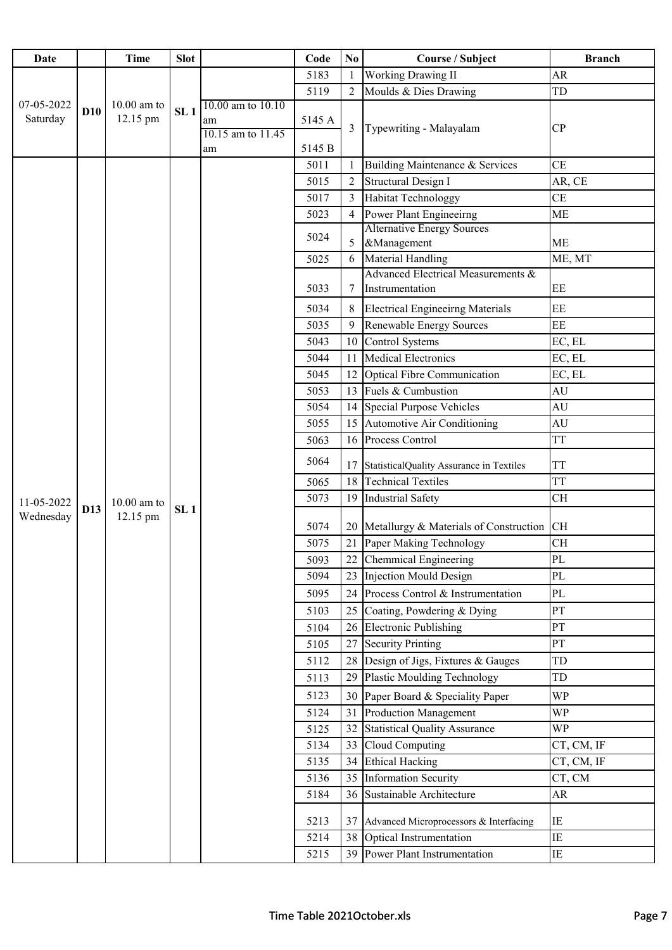| <b>Date</b>            |            | <b>Time</b>               | <b>Slot</b>     |                                                    | Code             | No             | <b>Course / Subject</b>                               | <b>Branch</b> |
|------------------------|------------|---------------------------|-----------------|----------------------------------------------------|------------------|----------------|-------------------------------------------------------|---------------|
|                        |            |                           |                 |                                                    | 5183             | 1              | <b>Working Drawing II</b>                             | <b>AR</b>     |
|                        |            |                           |                 |                                                    | 5119             | $\overline{2}$ | Moulds & Dies Drawing                                 | TD            |
| 07-05-2022<br>Saturday | <b>D10</b> | $10.00$ am to<br>12.15 pm | SL <sub>1</sub> | 10.00 am to 10.10<br>am<br>10.15 am to 11.45<br>am | 5145 A<br>5145 B | 3              | Typewriting - Malayalam                               | CP            |
|                        |            |                           |                 |                                                    | 5011             | 1              | Building Maintenance & Services                       | <b>CE</b>     |
|                        |            |                           |                 |                                                    | 5015             | $\overline{2}$ | Structural Design I                                   | AR, CE        |
|                        |            |                           |                 |                                                    | 5017             | 3              | <b>Habitat Technologgy</b>                            | <b>CE</b>     |
|                        |            |                           |                 |                                                    | 5023             | 4              | Power Plant Engineeirng                               | <b>ME</b>     |
|                        |            |                           |                 |                                                    |                  |                | <b>Alternative Energy Sources</b>                     |               |
|                        |            |                           |                 |                                                    | 5024             | 5              | &Management                                           | ME            |
|                        |            |                           |                 |                                                    | 5025             | 6              | <b>Material Handling</b>                              | ME, MT        |
|                        |            |                           |                 |                                                    | 5033             | 7              | Advanced Electrical Measurements &<br>Instrumentation | EE            |
|                        |            |                           |                 |                                                    | 5034             | 8              | <b>Electrical Engineeirng Materials</b>               | $\rm EE$      |
|                        |            |                           |                 |                                                    | 5035             | 9              | <b>Renewable Energy Sources</b>                       | EE            |
|                        |            |                           |                 |                                                    | 5043             | 10             | Control Systems                                       | EC, EL        |
|                        |            |                           |                 |                                                    | 5044             | 11             | <b>Medical Electronics</b>                            | EC, EL        |
|                        |            |                           |                 |                                                    | 5045             | 12             | <b>Optical Fibre Communication</b>                    | EC, EL        |
|                        |            |                           |                 |                                                    | 5053             | 13             | Fuels & Cumbustion                                    | AU            |
|                        |            |                           |                 |                                                    | 5054             | 14             | Special Purpose Vehicles                              | AU            |
|                        |            |                           |                 |                                                    | 5055             | 15             | Automotive Air Conditioning                           | AU            |
|                        |            |                           |                 |                                                    | 5063             | 16             | Process Control                                       | <b>TT</b>     |
|                        |            |                           |                 |                                                    | 5064             | 17             | StatisticalQuality Assurance in Textiles              | <b>TT</b>     |
|                        |            |                           |                 |                                                    | 5065             | 18             | <b>Technical Textiles</b>                             | <b>TT</b>     |
| 11-05-2022             |            | $10.00$ am to             |                 |                                                    | 5073             | 19             | <b>Industrial Safety</b>                              | <b>CH</b>     |
| Wednesday              | D13        | 12.15 pm                  | SL <sub>1</sub> |                                                    | 5074             |                | 20 Metallurgy & Materials of Construction             | <b>CH</b>     |
|                        |            |                           |                 |                                                    | 5075             |                | 21 Paper Making Technology                            | <b>CH</b>     |
|                        |            |                           |                 |                                                    | 5093             | 22             | <b>Chemmical Engineering</b>                          | PL            |
|                        |            |                           |                 |                                                    | 5094             | 23             | <b>Injection Mould Design</b>                         | PL            |
|                        |            |                           |                 |                                                    | 5095             | 24             | Process Control & Instrumentation                     | PL            |
|                        |            |                           |                 |                                                    | 5103             | 25             | Coating, Powdering & Dying                            | PT            |
|                        |            |                           |                 |                                                    | 5104             | 26             | <b>Electronic Publishing</b>                          | PT            |
|                        |            |                           |                 |                                                    | 5105             | 27             | <b>Security Printing</b>                              | PT            |
|                        |            |                           |                 |                                                    | 5112             | 28             | Design of Jigs, Fixtures & Gauges                     | TD            |
|                        |            |                           |                 |                                                    | 5113             | 29             | <b>Plastic Moulding Technology</b>                    | TD            |
|                        |            |                           |                 |                                                    | 5123             | 30             | Paper Board & Speciality Paper                        | <b>WP</b>     |
|                        |            |                           |                 |                                                    | 5124             | 31             | <b>Production Management</b>                          | <b>WP</b>     |
|                        |            |                           |                 |                                                    | 5125             | 32             | <b>Statistical Quality Assurance</b>                  | <b>WP</b>     |
|                        |            |                           |                 |                                                    | 5134             | 33             | Cloud Computing                                       | CT, CM, IF    |
|                        |            |                           |                 |                                                    | 5135             | 34             | <b>Ethical Hacking</b>                                | CT, CM, IF    |
|                        |            |                           |                 |                                                    | 5136             | 35             | <b>Information Security</b>                           | CT, CM        |
|                        |            |                           |                 |                                                    | 5184             | 36             | Sustainable Architecture                              | <b>AR</b>     |
|                        |            |                           |                 |                                                    | 5213             | 37             | Advanced Microprocessors & Interfacing                | IE            |
|                        |            |                           |                 |                                                    | 5214             | 38             | Optical Instrumentation                               | IE            |
|                        |            |                           |                 |                                                    | 5215             | 39             | Power Plant Instrumentation                           | IE            |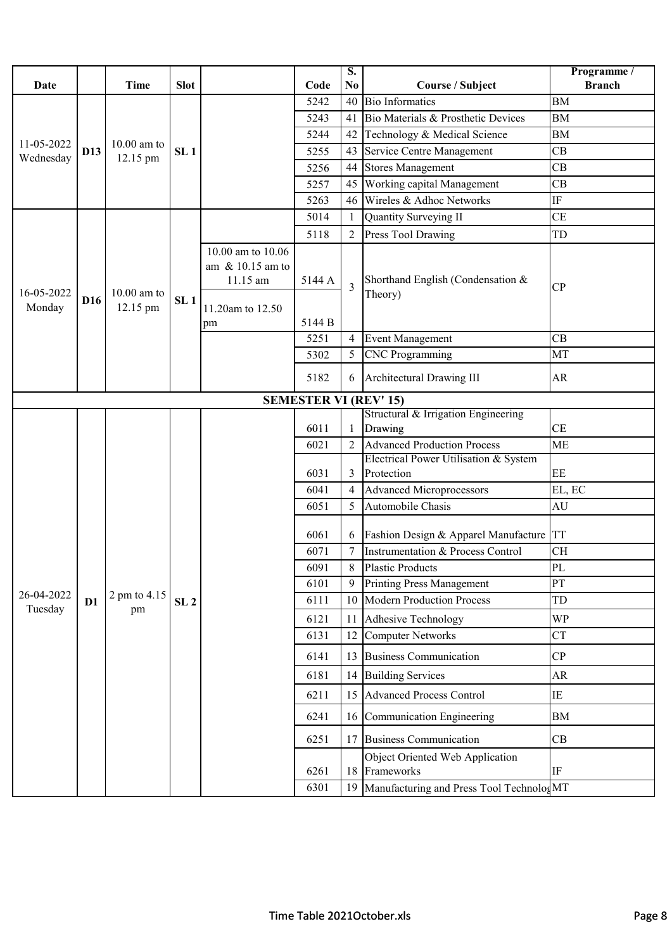|                      |                 |                           |                 |                        |                              | S.             |                                                     | Programme /     |
|----------------------|-----------------|---------------------------|-----------------|------------------------|------------------------------|----------------|-----------------------------------------------------|-----------------|
| Date                 |                 | <b>Time</b>               | <b>Slot</b>     |                        | Code                         | N <sub>0</sub> | Course / Subject                                    | <b>Branch</b>   |
|                      |                 |                           |                 |                        | 5242                         | 40             | <b>Bio Informatics</b>                              | <b>BM</b>       |
|                      |                 |                           |                 |                        | 5243                         | 41             | Bio Materials & Prosthetic Devices                  | <b>BM</b>       |
| 11-05-2022           |                 |                           |                 |                        | 5244                         | 42             | Technology & Medical Science                        | $\overline{BM}$ |
| Wednesday            | D13             | $10.00$ am to<br>12.15 pm | SL <sub>1</sub> |                        | 5255                         | 43             | Service Centre Management                           | CB              |
|                      |                 |                           |                 |                        | 5256                         | 44             | <b>Stores Management</b>                            | CB              |
|                      |                 |                           |                 |                        | 5257                         | 45             | Working capital Management                          | CB              |
|                      |                 |                           |                 |                        | 5263                         | 46             | Wireles & Adhoc Networks                            | IF              |
|                      |                 |                           |                 |                        | 5014                         | 1              | Quantity Surveying II                               | <b>CE</b>       |
|                      |                 |                           |                 |                        | 5118                         | $\overline{2}$ | Press Tool Drawing                                  | TD              |
|                      |                 |                           |                 | 10.00 am to 10.06      |                              |                |                                                     |                 |
|                      |                 |                           |                 | am $& 10.15$ am to     |                              |                |                                                     |                 |
|                      |                 |                           |                 | 11.15 am               | 5144 A                       | $\overline{3}$ | Shorthand English (Condensation &                   | CP              |
| 16-05-2022<br>Monday | D <sub>16</sub> | $10.00$ am to<br>12.15 pm | SL <sub>1</sub> |                        |                              |                | Theory)                                             |                 |
|                      |                 |                           |                 | 11.20am to 12.50<br>pm | 5144 B                       |                |                                                     |                 |
|                      |                 |                           |                 |                        | 5251                         | 4              | <b>Event Management</b>                             | CB              |
|                      |                 |                           |                 |                        | 5302                         | 5              | <b>CNC</b> Programming                              | MT              |
|                      |                 |                           |                 |                        |                              |                |                                                     |                 |
|                      |                 |                           |                 |                        | 5182                         | 6              | Architectural Drawing III                           | AR              |
|                      |                 |                           |                 |                        | <b>SEMESTER VI (REV' 15)</b> |                |                                                     |                 |
|                      |                 |                           |                 |                        |                              |                | Structural & Irrigation Engineering                 |                 |
|                      |                 |                           |                 |                        | 6011                         |                | Drawing                                             | CE              |
|                      |                 |                           |                 |                        | 6021                         | $\overline{2}$ | <b>Advanced Production Process</b>                  | <b>ME</b>       |
|                      |                 |                           |                 |                        | 6031                         | 3              | Electrical Power Utilisation & System<br>Protection | EE              |
|                      |                 |                           |                 |                        | 6041                         | $\overline{4}$ | <b>Advanced Microprocessors</b>                     | EL, EC          |
|                      |                 |                           |                 |                        | 6051                         | 5              | Automobile Chasis                                   | AU              |
|                      |                 |                           |                 |                        |                              |                |                                                     |                 |
|                      |                 |                           |                 |                        | 6061                         | 6              | Fashion Design & Apparel Manufacture                | <b>TT</b>       |
|                      |                 |                           |                 |                        | 6071                         |                | Instrumentation & Process Control                   | <b>CH</b>       |
|                      |                 |                           |                 |                        | 6091                         | $8\,$          | <b>Plastic Products</b>                             | PL              |
|                      |                 |                           |                 |                        | 6101                         | 9              | <b>Printing Press Management</b>                    | PT              |
| 26-04-2022           | D1              | 2 pm to 4.15              | SL <sub>2</sub> |                        | 6111                         | 10             | <b>Modern Production Process</b>                    | TD              |
| Tuesday              |                 | pm                        |                 |                        | 6121                         | 11             | <b>Adhesive Technology</b>                          | <b>WP</b>       |
|                      |                 |                           |                 |                        | 6131                         | 12             | <b>Computer Networks</b>                            | <b>CT</b>       |
|                      |                 |                           |                 |                        | 6141                         | 13             | <b>Business Communication</b>                       | CP              |
|                      |                 |                           |                 |                        | 6181                         | 14             | <b>Building Services</b>                            | AR              |
|                      |                 |                           |                 |                        | 6211                         |                | 15 Advanced Process Control                         | ΙE              |
|                      |                 |                           |                 |                        | 6241                         |                | 16 Communication Engineering                        | BM              |
|                      |                 |                           |                 |                        |                              |                |                                                     |                 |
|                      |                 |                           |                 |                        | 6251                         | 17             | <b>Business Communication</b>                       | CB              |
|                      |                 |                           |                 |                        | 6261                         | 18             | Object Oriented Web Application<br>Frameworks       | IF              |
|                      |                 |                           |                 |                        |                              |                |                                                     |                 |
|                      |                 |                           |                 |                        | 6301                         | 19             | Manufacturing and Press Tool TechnologMT            |                 |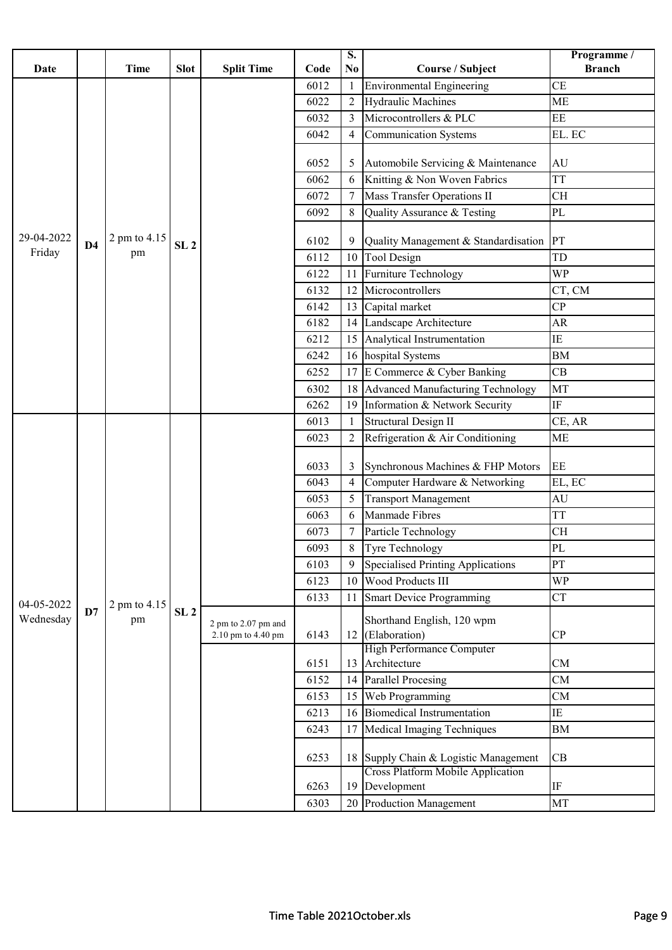|            |                |              |                 |                                           |      | $\overline{\mathbf{S}}$ . |                                             | Programme /   |
|------------|----------------|--------------|-----------------|-------------------------------------------|------|---------------------------|---------------------------------------------|---------------|
| Date       |                | <b>Time</b>  | <b>Slot</b>     | <b>Split Time</b>                         | Code | N <sub>0</sub>            | Course / Subject                            | <b>Branch</b> |
|            |                |              |                 |                                           | 6012 | $\mathbf{1}$              | <b>Environmental Engineering</b>            | <b>CE</b>     |
|            |                |              |                 |                                           | 6022 | $\overline{2}$            | <b>Hydraulic Machines</b>                   | <b>ME</b>     |
|            |                |              |                 |                                           | 6032 | 3                         | Microcontrollers & PLC                      | EE            |
|            |                |              |                 |                                           | 6042 | 4                         | <b>Communication Systems</b>                | EL. EC        |
|            |                |              |                 |                                           | 6052 | 5                         | Automobile Servicing & Maintenance          | AU            |
|            |                |              |                 |                                           | 6062 | 6                         | Knitting & Non Woven Fabrics                | <b>TT</b>     |
|            |                |              |                 |                                           | 6072 | 7                         | <b>Mass Transfer Operations II</b>          | CH            |
|            |                |              |                 |                                           | 6092 | 8                         | Quality Assurance & Testing                 | PL            |
| 29-04-2022 | D <sub>4</sub> | 2 pm to 4.15 | SL <sub>2</sub> |                                           | 6102 | 9                         | Quality Management & Standardisation        | PT            |
| Friday     |                | pm           |                 |                                           | 6112 | 10                        | Tool Design                                 | TD            |
|            |                |              |                 |                                           | 6122 | 11                        | Furniture Technology                        | <b>WP</b>     |
|            |                |              |                 |                                           | 6132 | 12                        | Microcontrollers                            | CT, CM        |
|            |                |              |                 |                                           | 6142 | 13                        | Capital market                              | CP            |
|            |                |              |                 |                                           | 6182 | 14                        | Landscape Architecture                      | AR            |
|            |                |              |                 |                                           | 6212 | 15                        | Analytical Instrumentation                  | IE            |
|            |                |              |                 |                                           | 6242 | 16                        | hospital Systems                            | BM            |
|            |                |              |                 |                                           | 6252 | 17                        | E Commerce & Cyber Banking                  | CB            |
|            |                |              |                 |                                           | 6302 | 18                        | <b>Advanced Manufacturing Technology</b>    | MT            |
|            |                |              |                 |                                           | 6262 | 19                        | Information & Network Security              | $\rm IF$      |
|            |                |              |                 |                                           | 6013 | 1                         | <b>Structural Design II</b>                 | CE, AR        |
|            |                |              |                 |                                           | 6023 | 2                         | Refrigeration & Air Conditioning            | <b>ME</b>     |
|            |                |              |                 |                                           | 6033 | 3                         | Synchronous Machines & FHP Motors           | $\rm EE$      |
|            |                |              |                 |                                           | 6043 | $\overline{4}$            | Computer Hardware & Networking              | EL, EC        |
|            |                |              |                 |                                           | 6053 | 5                         | <b>Transport Management</b>                 | AU            |
|            |                |              |                 |                                           | 6063 | 6                         | Manmade Fibres                              | <b>TT</b>     |
|            |                |              |                 |                                           | 6073 |                           | Particle Technology                         | <b>CH</b>     |
|            |                |              |                 |                                           | 6093 | $8\,$                     | Tyre Technology                             | PL            |
|            |                |              |                 |                                           | 6103 | 9                         | <b>Specialised Printing Applications</b>    | PT            |
|            |                |              |                 |                                           | 6123 | 10                        | Wood Products III                           | <b>WP</b>     |
| 04-05-2022 |                | 2 pm to 4.15 |                 |                                           | 6133 | 11                        | <b>Smart Device Programming</b>             | <b>CT</b>     |
| Wednesday  | D7             | pm           | SL <sub>2</sub> | 2 pm to 2.07 pm and<br>2.10 pm to 4.40 pm | 6143 | 12                        | Shorthand English, 120 wpm<br>(Elaboration) | CP            |
|            |                |              |                 |                                           |      |                           | <b>High Performance Computer</b>            |               |
|            |                |              |                 |                                           | 6151 | 13                        | Architecture                                | CM            |
|            |                |              |                 |                                           | 6152 | 14                        | <b>Parallel Procesing</b>                   | CM            |
|            |                |              |                 |                                           | 6153 | 15                        | Web Programming                             | CM            |
|            |                |              |                 |                                           | 6213 | 16                        | <b>Biomedical Instrumentation</b>           | ΙE            |
|            |                |              |                 |                                           | 6243 | 17                        | Medical Imaging Techniques                  | BM            |
|            |                |              |                 |                                           | 6253 | 18                        | Supply Chain & Logistic Management          | CB            |
|            |                |              |                 |                                           |      |                           | <b>Cross Platform Mobile Application</b>    |               |
|            |                |              |                 |                                           | 6263 | 19                        | Development                                 | $\rm IF$      |
|            |                |              |                 |                                           | 6303 | 20                        | Production Management                       | MT            |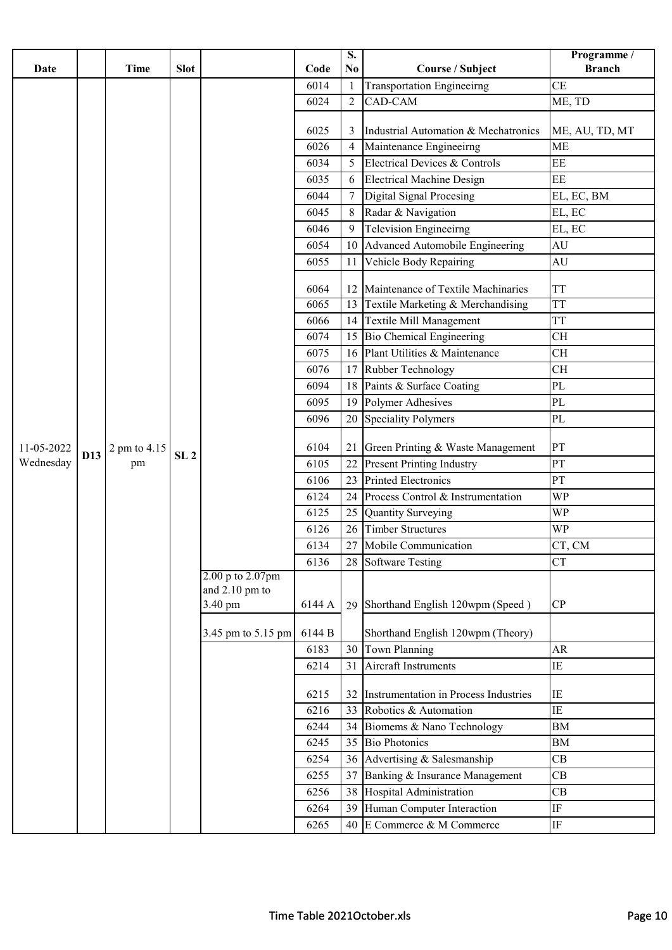|            |     |              |                 |                             |        | $\overline{\mathbf{S}}$ . |                                       | Programme /    |
|------------|-----|--------------|-----------------|-----------------------------|--------|---------------------------|---------------------------------------|----------------|
| Date       |     | <b>Time</b>  | <b>Slot</b>     |                             | Code   | No                        | <b>Course / Subject</b>               | <b>Branch</b>  |
|            |     |              |                 |                             | 6014   | 1                         | <b>Transportation Engineeirng</b>     | <b>CE</b>      |
|            |     |              |                 |                             | 6024   | $\overline{2}$            | CAD-CAM                               | ME, TD         |
|            |     |              |                 |                             |        |                           |                                       |                |
|            |     |              |                 |                             | 6025   | 3                         | Industrial Automation & Mechatronics  | ME, AU, TD, MT |
|            |     |              |                 |                             | 6026   | 4                         | Maintenance Engineeirng               | <b>ME</b>      |
|            |     |              |                 |                             | 6034   | 5                         | Electrical Devices & Controls         | EE             |
|            |     |              |                 |                             | 6035   | 6                         | <b>Electrical Machine Design</b>      | EE             |
|            |     |              |                 |                             | 6044   | 7                         | Digital Signal Procesing              | EL, EC, BM     |
|            |     |              |                 |                             | 6045   | 8                         | Radar & Navigation                    | EL, EC         |
|            |     |              |                 |                             | 6046   | 9                         | <b>Television Engineeirng</b>         | EL, EC         |
|            |     |              |                 |                             | 6054   | 10                        | Advanced Automobile Engineering       | AU             |
|            |     |              |                 |                             | 6055   | 11                        | Vehicle Body Repairing                | AU             |
|            |     |              |                 |                             | 6064   | 12                        | Maintenance of Textile Machinaries    | <b>TT</b>      |
|            |     |              |                 |                             | 6065   | 13                        | Textile Marketing & Merchandising     | <b>TT</b>      |
|            |     |              |                 |                             | 6066   | 14                        | <b>Textile Mill Management</b>        | <b>TT</b>      |
|            |     |              |                 |                             | 6074   | 15                        | Bio Chemical Engineering              | <b>CH</b>      |
|            |     |              |                 |                             | 6075   | 16                        | Plant Utilities & Maintenance         | <b>CH</b>      |
|            |     |              |                 |                             | 6076   | 17                        | Rubber Technology                     | <b>CH</b>      |
|            |     |              |                 |                             | 6094   | 18                        | Paints & Surface Coating              | $\rm PL$       |
|            |     |              |                 |                             | 6095   | 19                        | Polymer Adhesives                     | PL             |
|            |     |              |                 |                             | 6096   | 20                        | <b>Speciality Polymers</b>            | $\rm PL$       |
|            |     |              |                 |                             |        |                           |                                       |                |
| 11-05-2022 | D13 | 2 pm to 4.15 | SL <sub>2</sub> |                             | 6104   | 21                        | Green Printing & Waste Management     | PT             |
| Wednesday  |     | pm           |                 |                             | 6105   | 22                        | <b>Present Printing Industry</b>      | PT             |
|            |     |              |                 |                             | 6106   | 23                        | <b>Printed Electronics</b>            | PT             |
|            |     |              |                 |                             | 6124   | 24                        | Process Control & Instrumentation     | WP             |
|            |     |              |                 |                             | 6125   | 25                        | <b>Quantity Surveying</b>             | <b>WP</b>      |
|            |     |              |                 |                             | 6126   | 26                        | Timber Structures                     | WP             |
|            |     |              |                 |                             | 6134   |                           | 27 Mobile Communication               | CT, CM         |
|            |     |              |                 |                             | 6136   | 28                        | <b>Software Testing</b>               | <b>CT</b>      |
|            |     |              |                 | 2.00 p to 2.07pm            |        |                           |                                       |                |
|            |     |              |                 | and $2.10$ pm to<br>3.40 pm | 6144 A |                           | Shorthand English 120wpm (Speed)      | CP             |
|            |     |              |                 |                             |        | 29                        |                                       |                |
|            |     |              |                 | 3.45 pm to 5.15 pm          | 6144 B |                           | Shorthand English 120wpm (Theory)     |                |
|            |     |              |                 |                             | 6183   | 30                        | Town Planning                         | <b>AR</b>      |
|            |     |              |                 |                             | 6214   | 31                        | Aircraft Instruments                  | IE             |
|            |     |              |                 |                             | 6215   | 32                        | Instrumentation in Process Industries | IE             |
|            |     |              |                 |                             | 6216   | 33                        | Robotics & Automation                 | $\rm IE$       |
|            |     |              |                 |                             | 6244   |                           | 34 Biomems & Nano Technology          | BM             |
|            |     |              |                 |                             | 6245   | 35                        | <b>Bio Photonics</b>                  | <b>BM</b>      |
|            |     |              |                 |                             | 6254   | 36                        | Advertising & Salesmanship            | CB             |
|            |     |              |                 |                             | 6255   | 37                        | Banking & Insurance Management        | CB             |
|            |     |              |                 |                             | 6256   | 38                        | Hospital Administration               | CB             |
|            |     |              |                 |                             | 6264   |                           | 39 Human Computer Interaction         | $\rm IF$       |
|            |     |              |                 |                             | 6265   |                           | 40 E Commerce & M Commerce            | IF             |